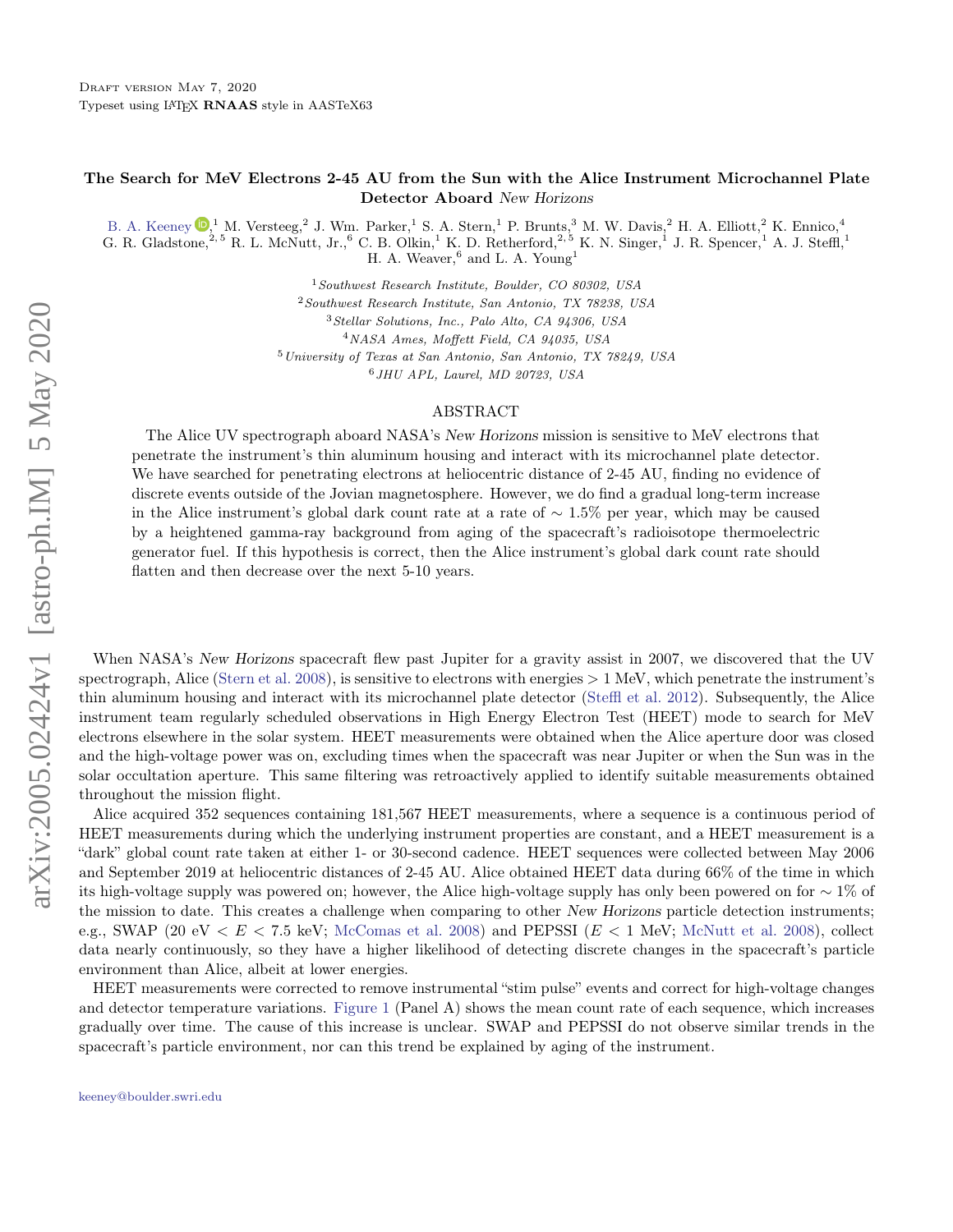## The Search for MeV Electrons 2-45 AU from the Sun with the Alice Instrument Microchannel Plate Detector Aboard New Horizons

[B. A. Keeney](http://orcid.org/0000-0003-0797-5313)  $\mathbb{D}$ , <sup>1</sup> M. Versteeg, <sup>2</sup> J. Wm. Parker, <sup>1</sup> S. A. Stern, <sup>1</sup> P. Brunts, <sup>3</sup> M. W. Davis, <sup>2</sup> H. A. Elliott, <sup>2</sup> K. Ennico, <sup>4</sup>

G. R. Gladstone,  $2.5$  R. L. McNutt, Jr.,  $6$  C. B. Olkin,  $1$  K. D. Retherford,  $2.5$  K. N. Singer,  $1$  J. R. Spencer,  $1$  A. J. Steffl,  $1$ H. A. Weaver,<sup>6</sup> and L. A. Young<sup>1</sup>

<sup>1</sup>Southwest Research Institute, Boulder, CO 80302, USA

<sup>2</sup>Southwest Research Institute, San Antonio, TX 78238, USA

<sup>3</sup>Stellar Solutions, Inc., Palo Alto, CA 94306, USA

<sup>4</sup>NASA Ames, Moffett Field, CA 94035, USA

<sup>5</sup>University of Texas at San Antonio, San Antonio, TX 78249, USA <sup>6</sup>JHU APL, Laurel, MD 20723, USA

## ABSTRACT

The Alice UV spectrograph aboard NASA's New Horizons mission is sensitive to MeV electrons that penetrate the instrument's thin aluminum housing and interact with its microchannel plate detector. We have searched for penetrating electrons at heliocentric distance of 2-45 AU, finding no evidence of discrete events outside of the Jovian magnetosphere. However, we do find a gradual long-term increase in the Alice instrument's global dark count rate at a rate of ∼ 1.5% per year, which may be caused by a heightened gamma-ray background from aging of the spacecraft's radioisotope thermoelectric generator fuel. If this hypothesis is correct, then the Alice instrument's global dark count rate should flatten and then decrease over the next 5-10 years.

When NASA's New Horizons spacecraft flew past Jupiter for a gravity assist in 2007, we discovered that the UV spectrograph, Alice [\(Stern et al.](#page-2-0) [2008\)](#page-2-0), is sensitive to electrons with energies  $> 1$  MeV, which penetrate the instrument's thin aluminum housing and interact with its microchannel plate detector [\(Steffl et al.](#page-2-1) [2012\)](#page-2-1). Subsequently, the Alice instrument team regularly scheduled observations in High Energy Electron Test (HEET) mode to search for MeV electrons elsewhere in the solar system. HEET measurements were obtained when the Alice aperture door was closed and the high-voltage power was on, excluding times when the spacecraft was near Jupiter or when the Sun was in the solar occultation aperture. This same filtering was retroactively applied to identify suitable measurements obtained throughout the mission flight.

Alice acquired 352 sequences containing 181,567 HEET measurements, where a sequence is a continuous period of HEET measurements during which the underlying instrument properties are constant, and a HEET measurement is a "dark" global count rate taken at either 1- or 30-second cadence. HEET sequences were collected between May 2006 and September 2019 at heliocentric distances of 2-45 AU. Alice obtained HEET data during 66% of the time in which its high-voltage supply was powered on; however, the Alice high-voltage supply has only been powered on for ∼ 1% of the mission to date. This creates a challenge when comparing to other New Horizons particle detection instruments; e.g., SWAP (20 eV  $\lt E \lt 7.5$  keV; [McComas et al.](#page-2-2) [2008\)](#page-2-3) and PEPSSI ( $E \lt 1$  MeV; [McNutt et al.](#page-2-3) 2008), collect data nearly continuously, so they have a higher likelihood of detecting discrete changes in the spacecraft's particle environment than Alice, albeit at lower energies.

<span id="page-0-0"></span>HEET measurements were corrected to remove instrumental "stim pulse" events and correct for high-voltage changes and detector temperature variations. [Figure 1](#page-1-0) (Panel A) shows the mean count rate of each sequence, which increases gradually over time. The cause of this increase is unclear. SWAP and PEPSSI do not observe similar trends in the spacecraft's particle environment, nor can this trend be explained by aging of the instrument.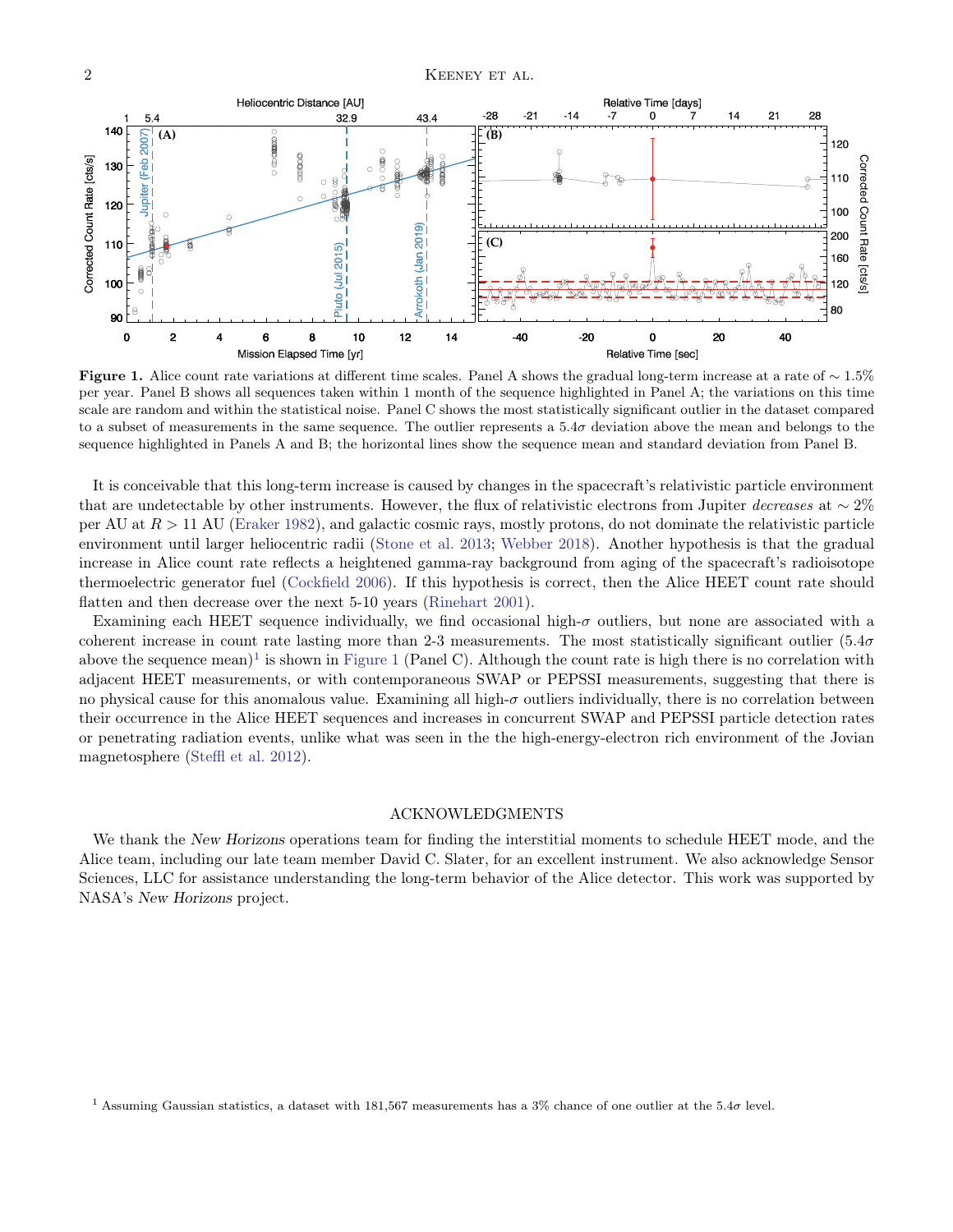<span id="page-1-0"></span>

Figure 1. Alice count rate variations at different time scales. Panel A shows the gradual long-term increase at a rate of  $\sim 1.5\%$ per year. Panel B shows all sequences taken within 1 month of the sequence highlighted in Panel A; the variations on this time scale are random and within the statistical noise. Panel C shows the most statistically significant outlier in the dataset compared to a subset of measurements in the same sequence. The outlier represents a  $5.4\sigma$  deviation above the mean and belongs to the sequence highlighted in Panels A and B; the horizontal lines show the sequence mean and standard deviation from Panel B.

It is conceivable that this long-term increase is caused by changes in the spacecraft's relativistic particle environment that are undetectable by other instruments. However, the flux of relativistic electrons from Jupiter decreases at  $\sim 2\%$ per AU at  $R > 11$  AU [\(Eraker](#page-2-4) [1982\)](#page-2-4), and galactic cosmic rays, mostly protons, do not dominate the relativistic particle environment until larger heliocentric radii [\(Stone et al.](#page-2-5) [2013;](#page-2-5) [Webber](#page-2-6) [2018\)](#page-2-6). Another hypothesis is that the gradual increase in Alice count rate reflects a heightened gamma-ray background from aging of the spacecraft's radioisotope thermoelectric generator fuel [\(Cockfield](#page-2-7) [2006\)](#page-2-7). If this hypothesis is correct, then the Alice HEET count rate should flatten and then decrease over the next 5-10 years [\(Rinehart](#page-2-8) [2001\)](#page-2-8).

Examining each HEET sequence individually, we find occasional high- $\sigma$  outliers, but none are associated with a coherent increase in count rate lasting more than 2-3 measurements. The most statistically significant outlier  $(5.4\sigma$ above the sequence mean)<sup>[1](#page-1-1)</sup> is shown in [Figure 1](#page-1-0) (Panel C). Although the count rate is high there is no correlation with adjacent HEET measurements, or with contemporaneous SWAP or PEPSSI measurements, suggesting that there is no physical cause for this anomalous value. Examining all high- $\sigma$  outliers individually, there is no correlation between their occurrence in the Alice HEET sequences and increases in concurrent SWAP and PEPSSI particle detection rates or penetrating radiation events, unlike what was seen in the the high-energy-electron rich environment of the Jovian magnetosphere [\(Steffl et al.](#page-2-1) [2012\)](#page-2-1).

## ACKNOWLEDGMENTS

We thank the New Horizons operations team for finding the interstitial moments to schedule HEET mode, and the Alice team, including our late team member David C. Slater, for an excellent instrument. We also acknowledge Sensor Sciences, LLC for assistance understanding the long-term behavior of the Alice detector. This work was supported by NASA's New Horizons project.

<span id="page-1-1"></span><sup>&</sup>lt;sup>1</sup> Assuming Gaussian statistics, a dataset with 181,567 measurements has a 3% chance of one outlier at the 5.4 $\sigma$  level.